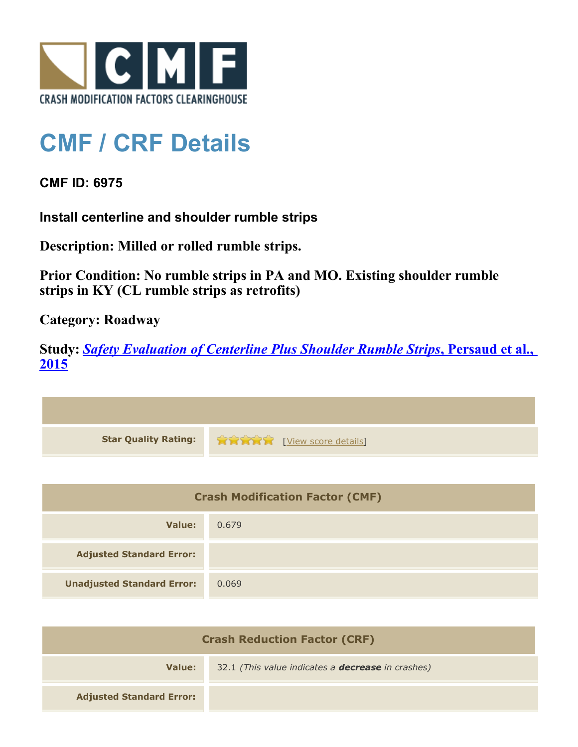

## **CMF / CRF Details**

**CMF ID: 6975**

**Install centerline and shoulder rumble strips**

**Description: Milled or rolled rumble strips.**

**Prior Condition: No rumble strips in PA and MO. Existing shoulder rumble strips in KY (CL rumble strips as retrofits)**

**Category: Roadway**

**Study:** *[Safety Evaluation of Centerline Plus Shoulder Rumble Strips](http://www.cmfclearinghouse.org/study_detail.cfm?stid=411)***[, Persaud et al.,](http://www.cmfclearinghouse.org/study_detail.cfm?stid=411) [2015](http://www.cmfclearinghouse.org/study_detail.cfm?stid=411)**



| <b>Crash Modification Factor (CMF)</b> |       |
|----------------------------------------|-------|
| Value:                                 | 0.679 |
| <b>Adjusted Standard Error:</b>        |       |
| <b>Unadjusted Standard Error:</b>      | 0.069 |

| <b>Crash Reduction Factor (CRF)</b> |                                                          |
|-------------------------------------|----------------------------------------------------------|
| Value:                              | 32.1 (This value indicates a <b>decrease</b> in crashes) |
| <b>Adjusted Standard Error:</b>     |                                                          |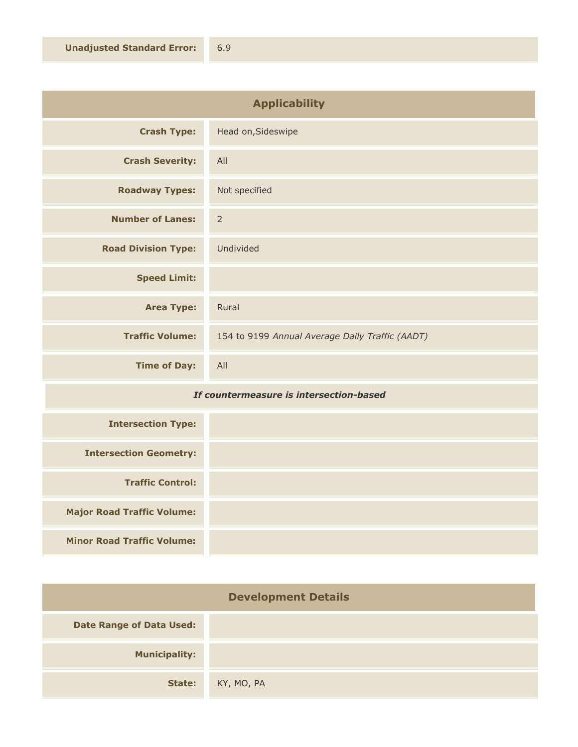| <b>Applicability</b>       |                                                 |
|----------------------------|-------------------------------------------------|
| <b>Crash Type:</b>         | Head on, Sideswipe                              |
| <b>Crash Severity:</b>     | All                                             |
| <b>Roadway Types:</b>      | Not specified                                   |
| <b>Number of Lanes:</b>    | $\overline{2}$                                  |
| <b>Road Division Type:</b> | Undivided                                       |
| <b>Speed Limit:</b>        |                                                 |
| <b>Area Type:</b>          | Rural                                           |
| <b>Traffic Volume:</b>     | 154 to 9199 Annual Average Daily Traffic (AADT) |
| <b>Time of Day:</b>        | All                                             |

## *If countermeasure is intersection-based*

| <b>Intersection Type:</b>         |  |
|-----------------------------------|--|
| <b>Intersection Geometry:</b>     |  |
| <b>Traffic Control:</b>           |  |
| <b>Major Road Traffic Volume:</b> |  |
| <b>Minor Road Traffic Volume:</b> |  |

| <b>Development Details</b>      |            |
|---------------------------------|------------|
| <b>Date Range of Data Used:</b> |            |
| <b>Municipality:</b>            |            |
| State:                          | KY, MO, PA |